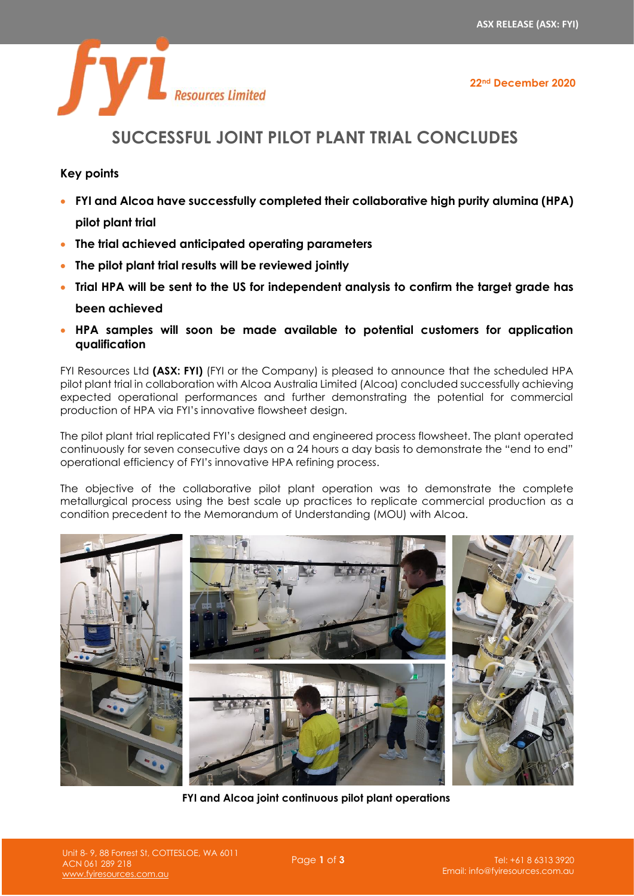**22nd December 2020**



# **SUCCESSFUL JOINT PILOT PLANT TRIAL CONCLUDES**

# **Key points**

- **FYI and Alcoa have successfully completed their collaborative high purity alumina (HPA) pilot plant trial**
- **The trial achieved anticipated operating parameters**
- **The pilot plant trial results will be reviewed jointly**
- **Trial HPA will be sent to the US for independent analysis to confirm the target grade has been achieved**
- **HPA samples will soon be made available to potential customers for application qualification**

FYI Resources Ltd **(ASX: FYI)** (FYI or the Company) is pleased to announce that the scheduled HPA pilot plant trial in collaboration with Alcoa Australia Limited (Alcoa) concluded successfully achieving expected operational performances and further demonstrating the potential for commercial production of HPA via FYI's innovative flowsheet design.

The pilot plant trial replicated FYI's designed and engineered process flowsheet. The plant operated continuously for seven consecutive days on a 24 hours a day basis to demonstrate the "end to end" operational efficiency of FYI's innovative HPA refining process.

The objective of the collaborative pilot plant operation was to demonstrate the complete metallurgical process using the best scale up practices to replicate commercial production as a condition precedent to the Memorandum of Understanding (MOU) with Alcoa.



**FYI and Alcoa joint continuous pilot plant operations**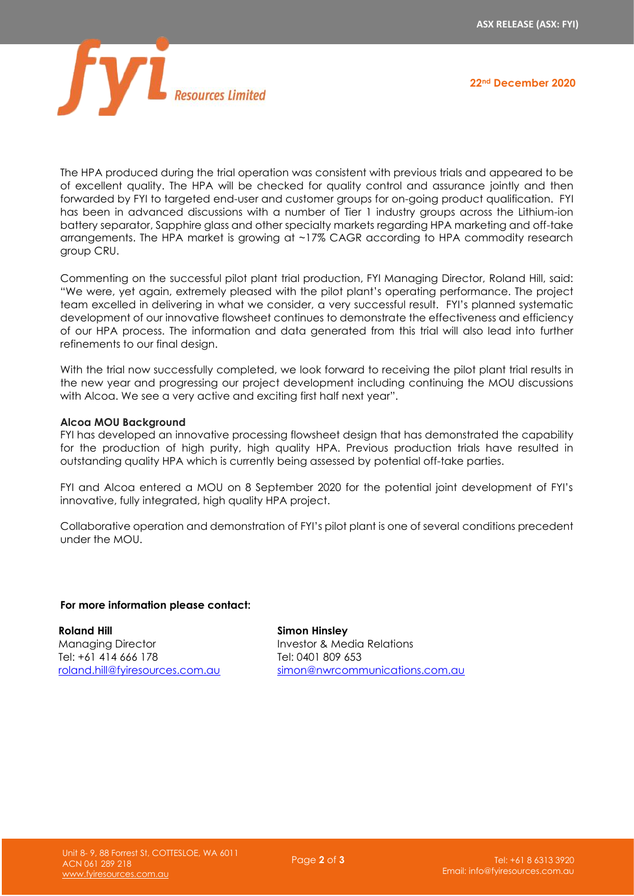

**22nd December 2020**

The HPA produced during the trial operation was consistent with previous trials and appeared to be of excellent quality. The HPA will be checked for quality control and assurance jointly and then forwarded by FYI to targeted end-user and customer groups for on-going product qualification. FYI has been in advanced discussions with a number of Tier 1 industry groups across the Lithium-ion battery separator, Sapphire glass and other specialty markets regarding HPA marketing and off-take arrangements. The HPA market is growing at ~17% CAGR according to HPA commodity research group CRU.

Commenting on the successful pilot plant trial production, FYI Managing Director, Roland Hill, said: "We were, yet again, extremely pleased with the pilot plant's operating performance. The project team excelled in delivering in what we consider, a very successful result. FYI's planned systematic development of our innovative flowsheet continues to demonstrate the effectiveness and efficiency of our HPA process. The information and data generated from this trial will also lead into further refinements to our final design.

With the trial now successfully completed, we look forward to receiving the pilot plant trial results in the new year and progressing our project development including continuing the MOU discussions with Alcoa. We see a very active and exciting first half next year".

## **Alcoa MOU Background**

FYI has developed an innovative processing flowsheet design that has demonstrated the capability for the production of high purity, high quality HPA. Previous production trials have resulted in outstanding quality HPA which is currently being assessed by potential off-take parties.

FYI and Alcoa entered a MOU on 8 September 2020 for the potential joint development of FYI's innovative, fully integrated, high quality HPA project.

Collaborative operation and demonstration of FYI's pilot plant is one of several conditions precedent under the MOU.

#### **For more information please contact:**

**Roland Hill** Managing Director Tel: +61 414 666 178 [roland.hill@fyiresources.com.au](mailto:roland.hill@fyiresources.com.au)

**Simon Hinsley** Investor & Media Relations Tel: 0401 809 653 [simon@nwrcommunications.com.au](mailto:simon@nwrcommunications.com.au)